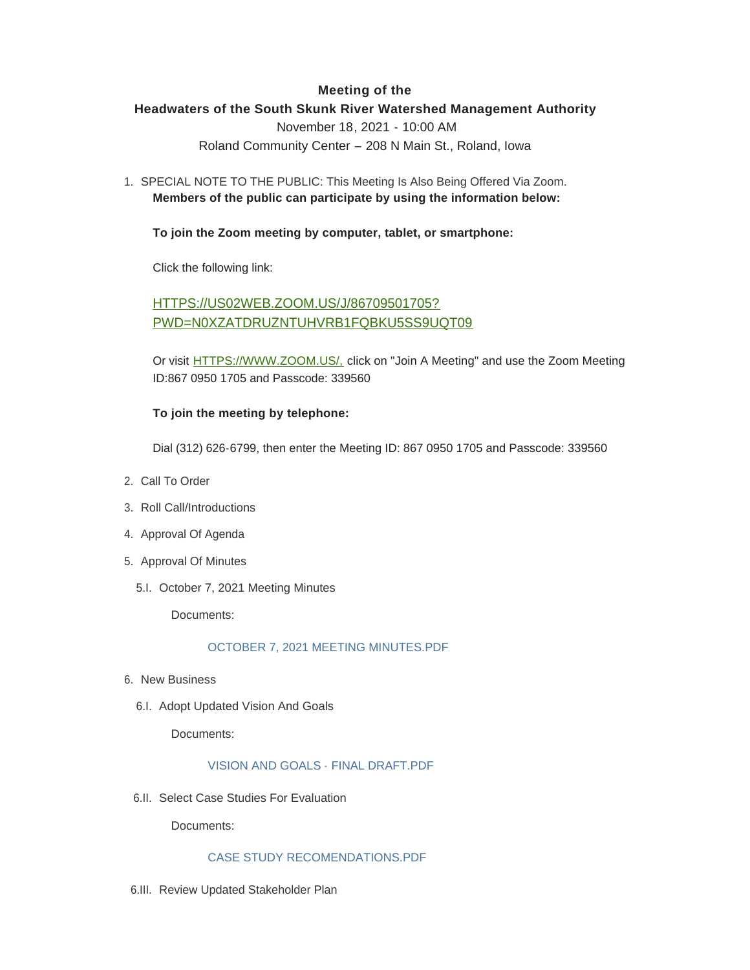# **Meeting of the**

# **Headwaters of the South Skunk River Watershed Management Authority**

November 18, 2021 - 10:00 AM

Roland Community Center – 208 N Main St., Roland, Iowa

1. SPECIAL NOTE TO THE PUBLIC: This Meeting Is Also Being Offered Via Zoom. **Members of the public can participate by using the information below:**

## **To join the Zoom meeting by computer, tablet, or smartphone:**

Click the following link:

HTTPS://US02WEB.ZOOM.US/J/86709501705? [PWD=N0XZATDRUZNTUHVRB1FQBKU5SS9UQT09](https://us02web.zoom.us/j/86709501705?pwd=N0xzaTdrUzNTUHVrb1FqbkU5SS9uQT09)

Or visit [HTTPS://WWW.ZOOM.US/,](https://www.zoom.us/,) click on "Join A Meeting" and use the Zoom Meeting ID:867 0950 1705 and Passcode: 339560

### **To join the meeting by telephone:**

Dial (312) 626-6799, then enter the Meeting ID: 867 0950 1705 and Passcode: 339560

- 2. Call To Order
- 3. Roll Call/Introductions
- 4. Approval Of Agenda
- 5. Approval Of Minutes
	- 5.I. October 7, 2021 Meeting Minutes

Documents:

### [OCTOBER 7, 2021 MEETING MINUTES.PDF](http://www.storycountyiowa.gov/AgendaCenter/ViewFile/Item/22686?fileID=17207)

- 6. New Business
	- 6.I. Adopt Updated Vision And Goals

Documents:

### [VISION AND GOALS - FINAL DRAFT.PDF](http://www.storycountyiowa.gov/AgendaCenter/ViewFile/Item/22687?fileID=17208)

6.II. Select Case Studies For Evaluation

Documents:

#### [CASE STUDY RECOMENDATIONS.PDF](http://www.storycountyiowa.gov/AgendaCenter/ViewFile/Item/22688?fileID=17209)

6.III. Review Updated Stakeholder Plan